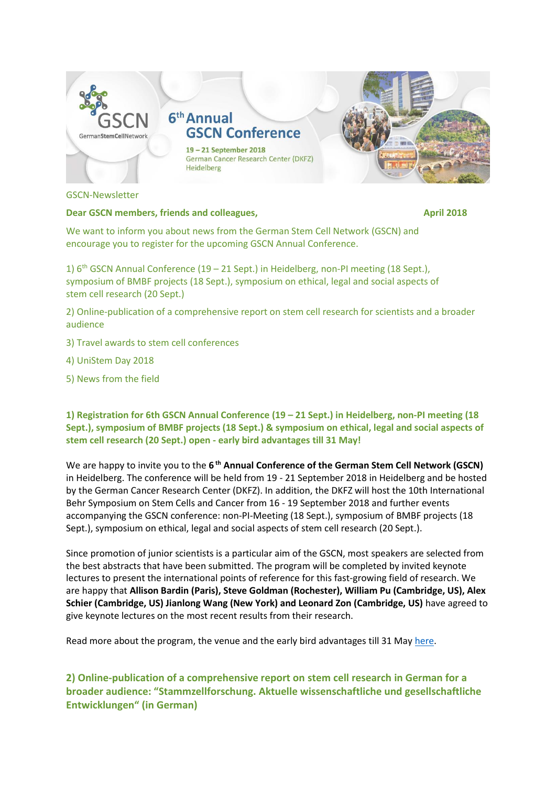

GSCN-Newsletter

### **Dear GSCN members, friends and colleagues, the collection of the collection of the collection of the collection of the collection of the collection of the collection of the collection of the collection of the collection o**

We want to inform you about news from the German Stem Cell Network (GSCN) and encourage you to register for the upcoming GSCN Annual Conference.

1)  $6<sup>th</sup>$  GSCN Annual Conference (19 – 21 Sept.) in Heidelberg, non-PI meeting (18 Sept.), symposium of BMBF projects (18 Sept.), symposium on ethical, legal and social aspects of stem cell research (20 Sept.)

2) Online-publication of a comprehensive report on stem cell research for scientists and a broader audience

- 3) Travel awards to stem cell conferences
- 4) UniStem Day 2018
- 5) News from the field

**1) Registration for 6th GSCN Annual Conference (19 – 21 Sept.) in Heidelberg, non-PI meeting (18 Sept.), symposium of BMBF projects (18 Sept.) & symposium on ethical, legal and social aspects of stem cell research (20 Sept.) open - early bird advantages till 31 May!**

We are happy to invite you to the 6<sup>th</sup> Annual Conference of the German Stem Cell Network (GSCN) in Heidelberg. The conference will be held from 19 - 21 September 2018 in Heidelberg and be hosted by the German Cancer Research Center (DKFZ). In addition, the DKFZ will host the 10th International Behr Symposium on Stem Cells and Cancer from 16 - 19 September 2018 and further events accompanying the GSCN conference: non-PI-Meeting (18 Sept.), symposium of BMBF projects (18 Sept.), symposium on ethical, legal and social aspects of stem cell research (20 Sept.).

Since promotion of junior scientists is a particular aim of the GSCN, most speakers are selected from the best abstracts that have been submitted. The program will be completed by invited keynote lectures to present the international points of reference for this fast-growing field of research. We are happy that **Allison Bardin (Paris), Steve Goldman (Rochester), William Pu (Cambridge, US), Alex Schier (Cambridge, US) Jianlong Wang (New York) and Leonard Zon (Cambridge, US)** have agreed to give keynote lectures on the most recent results from their research.

Read more about the program, the venue and the early bird advantages till 31 May [here.](http://www.gscn.org/Conferences/2018/Home.aspx)

**2) Online-publication of a comprehensive report on stem cell research in German for a broader audience: "Stammzellforschung. Aktuelle wissenschaftliche und gesellschaftliche Entwicklungen" (in German)**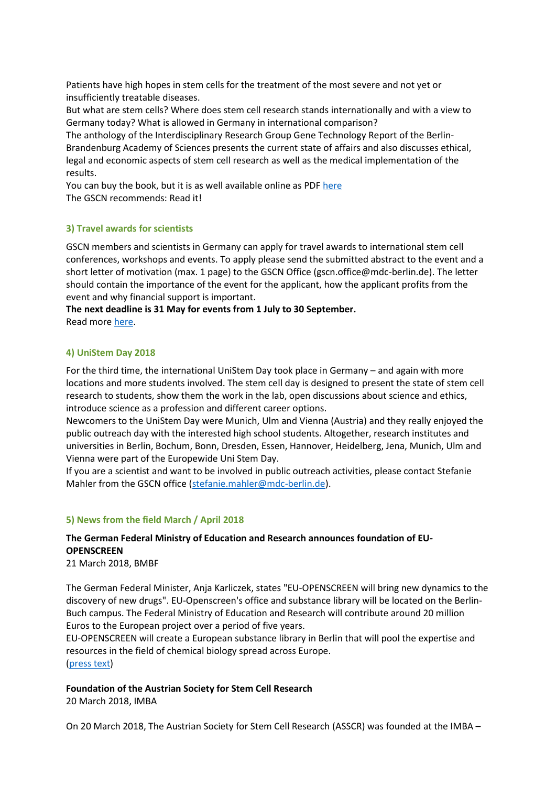Patients have high hopes in stem cells for the treatment of the most severe and not yet or insufficiently treatable diseases.

But what are stem cells? Where does stem cell research stands internationally and with a view to Germany today? What is allowed in Germany in international comparison?

The anthology of the Interdisciplinary Research Group Gene Technology Report of the Berlin-Brandenburg Academy of Sciences presents the current state of affairs and also discusses ethical, legal and economic aspects of stem cell research as well as the medical implementation of the results.

You can buy the book, but it is as well available online as PD[F here](https://www.nomos-elibrary.de/10.5771/9783845287720/stammzellforschung) The GSCN recommends: Read it!

# **3) Travel awards for scientists**

GSCN members and scientists in Germany can apply for travel awards to international stem cell conferences, workshops and events. To apply please send the submitted abstract to the event and a short letter of motivation (max. 1 page) to the GSCN Office (gscn.office@mdc-berlin.de). The letter should contain the importance of the event for the applicant, how the applicant profits from the event and why financial support is important.

**The next deadline is 31 May for events from 1 July to 30 September.** Read more [here.](http://www.gscn.org/en/EVENTS/GSCNTravelAwards.aspx)

## **4) UniStem Day 2018**

For the third time, the international UniStem Day took place in Germany – and again with more locations and more students involved. The stem cell day is designed to present the state of stem cell research to students, show them the work in the lab, open discussions about science and ethics, introduce science as a profession and different career options.

Newcomers to the UniStem Day were Munich, Ulm and Vienna (Austria) and they really enjoyed the public outreach day with the interested high school students. Altogether, research institutes and universities in Berlin, Bochum, Bonn, Dresden, Essen, Hannover, Heidelberg, Jena, Munich, Ulm and Vienna were part of the Europewide Uni Stem Day.

If you are a scientist and want to be involved in public outreach activities, please contact Stefanie Mahler from the GSCN office [\(stefanie.mahler@mdc-berlin.de\)](mailto:stefanie.mahler@mdc-berlin.de).

## **5) News from the field March / April 2018**

# **The German Federal Ministry of Education and Research announces foundation of EU-OPENSCREEN**

#### 21 March 2018, BMBF

The German Federal Minister, Anja Karliczek, states "EU-OPENSCREEN will bring new dynamics to the discovery of new drugs". EU-Openscreen's office and substance library will be located on the Berlin-Buch campus. The Federal Ministry of Education and Research will contribute around 20 million Euros to the European project over a period of five years.

EU-OPENSCREEN will create a European substance library in Berlin that will pool the expertise and resources in the field of chemical biology spread across Europe. [\(press text\)](http://www.eu-openscreen.eu/newsroom/eu-openscreen-news/ansicht/news/detail/News/the-german-federal-ministry-of-education-and-research-bmbf-announces-foundation-of-eu-openscreen-3.html)

**Foundation of the Austrian Society for Stem Cell Research** 20 March 2018, IMBA

On 20 March 2018, The Austrian Society for Stem Cell Research (ASSCR) was founded at the IMBA –